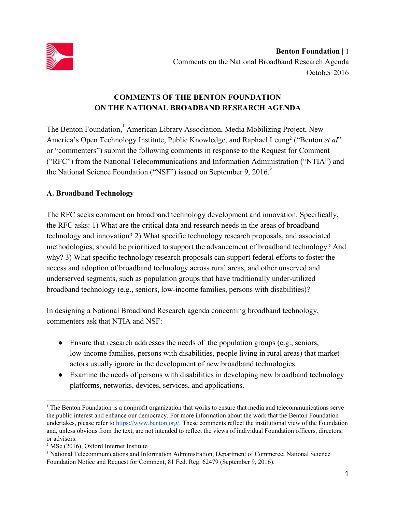

# **COMMENTS OF THE BENTON FOUNDATION ON THE NATIONAL BROADBAND RESEARCH AGENDA**

The Benton Foundation,<sup>1</sup> American Library Association, Media Mobilizing Project, New America's Open Technology Institute, Public Knowledge, and Raphael Leung<sup>2</sup> ("Benton et al" or "commenters") submit the following comments in response to the Request for Comment ("RFC") from the National Telecommunications and Information Administration ("NTIA") and the National Science Foundation ("NSF") issued on September 9,  $2016$ .<sup>3</sup>

## **A. Broadband Technology**

The RFC seeks comment on broadband technology development and innovation. Specifically, the RFC asks: 1) What are the critical data and research needs in the areas of broadband technology and innovation? 2) What specific technology research proposals, and associated methodologies, should be prioritized to support the advancement of broadband technology? And why? 3) What specific technology research proposals can support federal efforts to foster the access and adoption of broadband technology across rural areas, and other unserved and underserved segments, such as population groups that have traditionally under-utilized broadband technology (e.g., seniors, low-income families, persons with disabilities)?

In designing a National Broadband Research agenda concerning broadband technology, commenters ask that NTIA and NSF:

- $\bullet$  Ensure that research addresses the needs of the population groups (e.g., seniors, low-income families, persons with disabilities, people living in rural areas) that market actors usually ignore in the development of new broadband technologies.
- Examine the needs of persons with disabilities in developing new broadband technology platforms, networks, devices, services, and applications.

<sup>1</sup> The Benton Foundation is a nonprofit organization that works to ensure that media and telecommunications serve the public interest and enhance our democracy. For more information about the work that the Benton Foundation undertakes, please refer to [https://www.benton.org/.](https://www.benton.org/) These comments reflect the institutional view of the Foundation and, unless obvious from the text, are not intended to reflect the views of individual Foundation officers, directors, or advisors.

<sup>2</sup> MSc (2016), Oxford Internet Institute

<sup>&</sup>lt;sup>3</sup> National Telecommunications and Information Administration, Department of Commerce; National Science Foundation Notice and Request for Comment, 81 Fed. Reg. 62479 (September 9, 2016).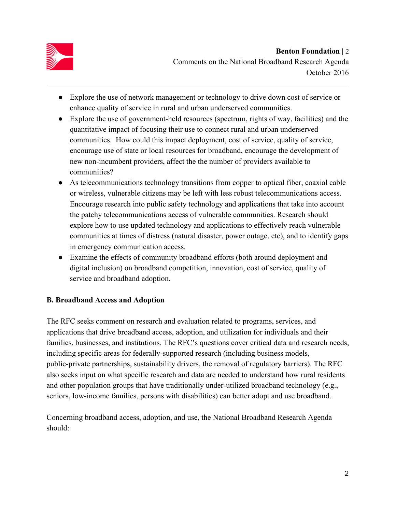

- Explore the use of network management or technology to drive down cost of service or enhance quality of service in rural and urban underserved communities.
- Explore the use of government-held resources (spectrum, rights of way, facilities) and the quantitative impact of focusing their use to connect rural and urban underserved communities. How could this impact deployment, cost of service, quality of service, encourage use of state or local resources for broadband, encourage the development of new non-incumbent providers, affect the the number of providers available to communities?
- As telecommunications technology transitions from copper to optical fiber, coaxial cable or wireless, vulnerable citizens may be left with less robust telecommunications access. Encourage research into public safety technology and applications that take into account the patchy telecommunications access of vulnerable communities. Research should explore how to use updated technology and applications to effectively reach vulnerable communities at times of distress (natural disaster, power outage, etc), and to identify gaps in emergency communication access.
- Examine the effects of community broadband efforts (both around deployment and digital inclusion) on broadband competition, innovation, cost of service, quality of service and broadband adoption.

#### **B. Broadband Access and Adoption**

The RFC seeks comment on research and evaluation related to programs, services, and applications that drive broadband access, adoption, and utilization for individuals and their families, businesses, and institutions. The RFC's questions cover critical data and research needs, including specific areas for federally-supported research (including business models, public-private partnerships, sustainability drivers, the removal of regulatory barriers). The RFC also seeks input on what specific research and data are needed to understand how rural residents and other population groups that have traditionally under-utilized broadband technology (e.g., seniors, low-income families, persons with disabilities) can better adopt and use broadband.

Concerning broadband access, adoption, and use, the National Broadband Research Agenda should: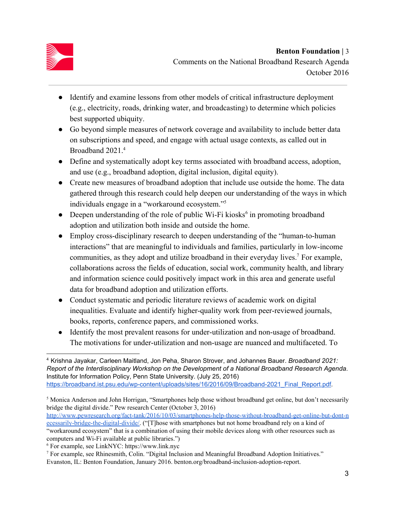

- Identify and examine lessons from other models of critical infrastructure deployment (e.g., electricity, roads, drinking water, and broadcasting) to determine which policies best supported ubiquity.
- Go beyond simple measures of network coverage and availability to include better data on subscriptions and speed, and engage with actual usage contexts, as called out in Broadband 2021.<sup>4</sup>
- Define and systematically adopt key terms associated with broadband access, adoption, and use (e.g., broadband adoption, digital inclusion, digital equity).
- Create new measures of broadband adoption that include use outside the home. The data gathered through this research could help deepen our understanding of the ways in which individuals engage in a "workaround ecosystem."<sup>5</sup>
- Deepen understanding of the role of public Wi-Fi kiosks<sup>6</sup> in promoting broadband adoption and utilization both inside and outside the home.
- Employ cross-disciplinary research to deepen understanding of the "human-to-human interactions" that are meaningful to individuals and families, particularly in low-income communities, as they adopt and utilize broadband in their everyday lives.<sup>7</sup> For example, collaborations across the fields of education, social work, community health, and library and information science could positively impact work in this area and generate useful data for broadband adoption and utilization efforts.
- Conduct systematic and periodic literature reviews of academic work on digital inequalities. Evaluate and identify higher-quality work from peer-reviewed journals, books, reports, conference papers, and commissioned works.
- Identify the most prevalent reasons for under-utilization and non-usage of broadband. The motivations for under-utilization and non-usage are nuanced and multifaceted. To

- <sup>5</sup> Monica Anderson and John Horrigan, "Smartphones help those without broadband get online, but don't necessarily bridge the digital divide." Pew research Center (October 3, 2016)
- [http://www.pewresearch.org/fact-tank/2016/10/03/smartphones-help-those-without-broadband-get-online-but-dont-n](http://www.pewresearch.org/fact-tank/2016/10/03/smartphones-help-those-without-broadband-get-online-but-dont-necessarily-bridge-the-digital-divide/) [ecessarily-bridge-the-digital-divide/.](http://www.pewresearch.org/fact-tank/2016/10/03/smartphones-help-those-without-broadband-get-online-but-dont-necessarily-bridge-the-digital-divide/) ("[T]hose with smartphones but not home broadband rely on a kind of "workaround ecosystem" that is a combination of using their mobile devices along with other resources such as

computers and Wi-Fi available at public libraries.")

<sup>4</sup> Krishna Jayakar, Carleen Maitland, Jon Peha, Sharon Strover, and Johannes Bauer. *Broadband 2021: Report of the Interdisciplinary Workshop on the Development of a National Broadband Research Agenda*. Institute for Information Policy, Penn State University. (July 25, 2016) [https://broadband.ist.psu.edu/wp-content/uploads/sites/16/2016/09/Broadband-2021\\_Final\\_Report.pdf](https://broadband.ist.psu.edu/wp-content/uploads/sites/16/2016/09/Broadband-2021_Final_Report.pdf).

<sup>6</sup> For example, see LinkNYC: https://www.link.nyc

<sup>7</sup> For example, see Rhinesmith, Colin. "Digital Inclusion and Meaningful Broadband Adoption Initiatives." Evanston, IL: Benton Foundation, January 2016. benton.org/broadband-inclusion-adoption-report.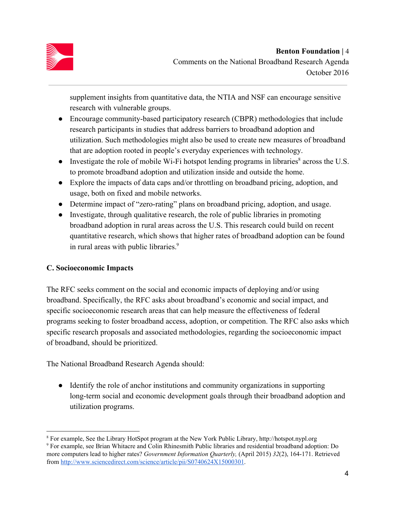

supplement insights from quantitative data, the NTIA and NSF can encourage sensitive research with vulnerable groups.

- Encourage community-based participatory research (CBPR) methodologies that include research participants in studies that address barriers to broadband adoption and utilization. Such methodologies might also be used to create new measures of broadband that are adoption rooted in people's everyday experiences with technology.
- $\bullet$  Investigate the role of mobile Wi-Fi hotspot lending programs in libraries<sup>8</sup> across the U.S. to promote broadband adoption and utilization inside and outside the home.
- Explore the impacts of data caps and/or throttling on broadband pricing, adoption, and usage, both on fixed and mobile networks.
- Determine impact of "zero-rating" plans on broadband pricing, adoption, and usage.
- Investigate, through qualitative research, the role of public libraries in promoting broadband adoption in rural areas across the U.S. This research could build on recent quantitative research, which shows that higher rates of broadband adoption can be found in rural areas with public libraries.<sup>9</sup>

## **C. Socioeconomic Impacts**

The RFC seeks comment on the social and economic impacts of deploying and/or using broadband. Specifically, the RFC asks about broadband's economic and social impact, and specific socioeconomic research areas that can help measure the effectiveness of federal programs seeking to foster broadband access, adoption, or competition. The RFC also asks which specific research proposals and associated methodologies, regarding the socioeconomic impact of broadband, should be prioritized.

The National Broadband Research Agenda should:

● Identify the role of anchor institutions and community organizations in supporting long-term social and economic development goals through their broadband adoption and utilization programs.

<sup>8</sup> For example, See the Library HotSpot program at the New York Public Library, http://hotspot.nypl.org 9 For example, see Brian Whitacre and Colin Rhinesmith Public libraries and residential broadband adoption: Do more computers lead to higher rates? *Government Information Quarterly,* (April 2015) *32*(2), 164-171. Retrieved from [http://www.sciencedirect.com/science/article/pii/S0740624X15000301.](http://www.sciencedirect.com/science/article/pii/S0740624X15000301)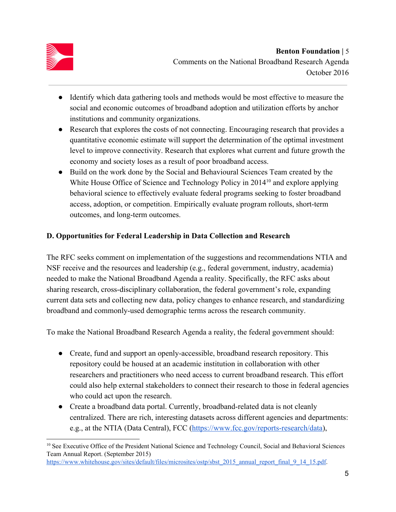

- Identify which data gathering tools and methods would be most effective to measure the social and economic outcomes of broadband adoption and utilization efforts by anchor institutions and community organizations.
- Research that explores the costs of not connecting. Encouraging research that provides a quantitative economic estimate will support the determination of the optimal investment level to improve connectivity. Research that explores what current and future growth the economy and society loses as a result of poor broadband access.
- Build on the work done by the Social and Behavioural Sciences Team created by the White House Office of Science and Technology Policy in  $2014<sup>10</sup>$  and explore applying behavioral science to effectively evaluate federal programs seeking to foster broadband access, adoption, or competition. Empirically evaluate program rollouts, short-term outcomes, and long-term outcomes.

### **D. Opportunities for Federal Leadership in Data Collection and Research**

The RFC seeks comment on implementation of the suggestions and recommendations NTIA and NSF receive and the resources and leadership (e.g., federal government, industry, academia) needed to make the National Broadband Agenda a reality. Specifically, the RFC asks about sharing research, cross-disciplinary collaboration, the federal government's role, expanding current data sets and collecting new data, policy changes to enhance research, and standardizing broadband and commonly-used demographic terms across the research community.

To make the National Broadband Research Agenda a reality, the federal government should:

- Create, fund and support an openly-accessible, broadband research repository. This repository could be housed at an academic institution in collaboration with other researchers and practitioners who need access to current broadband research. This effort could also help external stakeholders to connect their research to those in federal agencies who could act upon the research.
- Create a broadband data portal. Currently, broadband-related data is not cleanly centralized. There are rich, interesting datasets across different agencies and departments: e.g., at the NTIA (Data Central), FCC [\(https://www.fcc.gov/reports-research/data\)](https://www.fcc.gov/reports-research/data),

<sup>&</sup>lt;sup>10</sup> See Executive Office of the President National Science and Technology Council, Social and Behavioral Sciences Team Annual Report. (September 2015) [https://www.whitehouse.gov/sites/default/files/microsites/ostp/sbst\\_2015\\_annual\\_report\\_final\\_9\\_14\\_15.pdf.](https://www.whitehouse.gov/sites/default/files/microsites/ostp/sbst_2015_annual_report_final_9_14_15.pdf)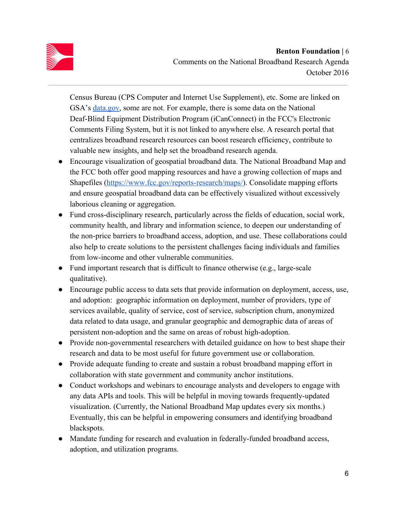

Census Bureau (CPS Computer and Internet Use Supplement), etc. Some are linked on GSA's [data.gov,](https://www.data.gov/) some are not. For example, there is some data on the National Deaf-Blind Equipment Distribution Program (iCanConnect) in the FCC's Electronic Comments Filing System, but it is not linked to anywhere else. A research portal that centralizes broadband research resources can boost research efficiency, contribute to valuable new insights, and help set the broadband research agenda.

- Encourage visualization of geospatial broadband data. The National Broadband Map and the FCC both offer good mapping resources and have a growing collection of maps and Shapefiles [\(https://www.fcc.gov/reports-research/maps/\)](https://www.fcc.gov/reports-research/maps/). Consolidate mapping efforts and ensure geospatial broadband data can be effectively visualized without excessively laborious cleaning or aggregation.
- Fund cross-disciplinary research, particularly across the fields of education, social work, community health, and library and information science, to deepen our understanding of the non-price barriers to broadband access, adoption, and use. These collaborations could also help to create solutions to the persistent challenges facing individuals and families from low-income and other vulnerable communities.
- Fund important research that is difficult to finance otherwise (e.g., large-scale qualitative).
- Encourage public access to data sets that provide information on deployment, access, use, and adoption: geographic information on deployment, number of providers, type of services available, quality of service, cost of service, subscription churn, anonymized data related to data usage, and granular geographic and demographic data of areas of persistent non-adoption and the same on areas of robust high-adoption.
- Provide non-governmental researchers with detailed guidance on how to best shape their research and data to be most useful for future government use or collaboration.
- Provide adequate funding to create and sustain a robust broadband mapping effort in collaboration with state government and community anchor institutions.
- Conduct workshops and webinars to encourage analysts and developers to engage with any data APIs and tools. This will be helpful in moving towards frequently-updated visualization. (Currently, the National Broadband Map updates every six months.) Eventually, this can be helpful in empowering consumers and identifying broadband blackspots.
- Mandate funding for research and evaluation in federally-funded broadband access, adoption, and utilization programs.